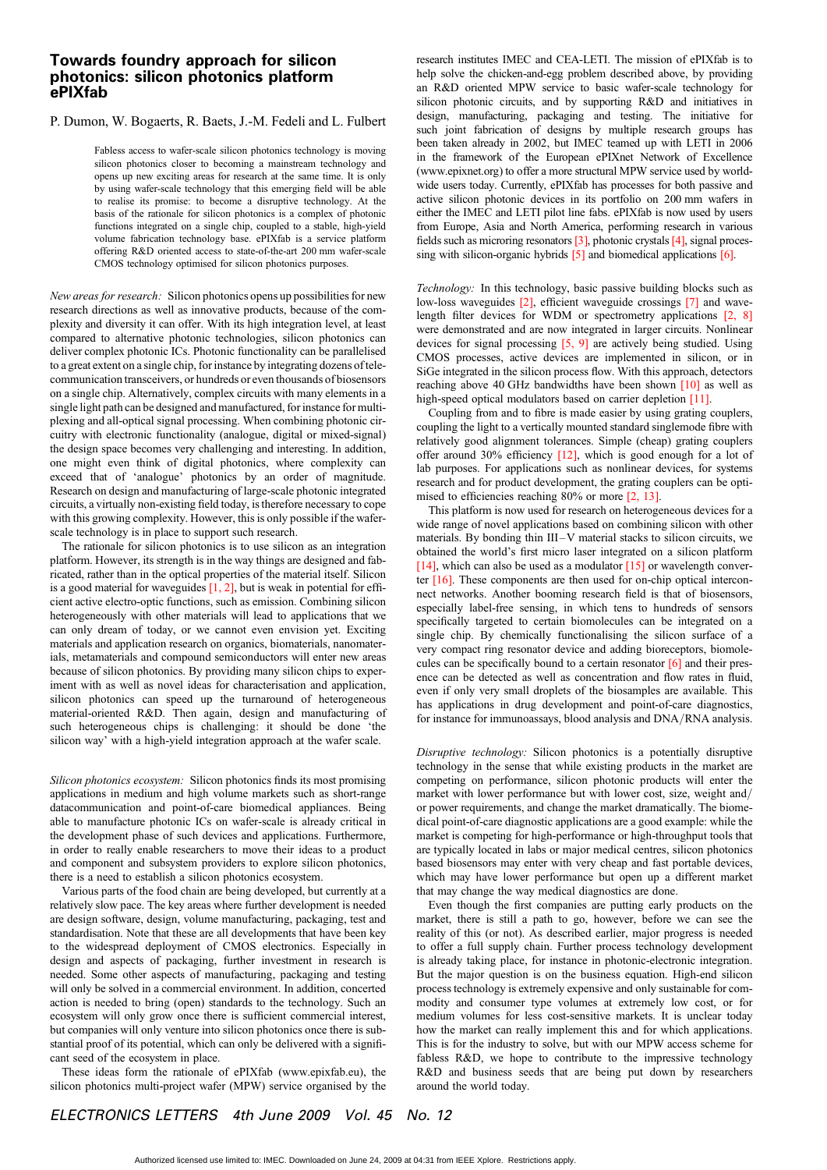## Towards foundry approach for silicon photonics: silicon photonics platform ePIXfab

## P. Dumon, W. Bogaerts, R. Baets, J.-M. Fedeli and L. Fulbert

Fabless access to wafer-scale silicon photonics technology is moving silicon photonics closer to becoming a mainstream technology and opens up new exciting areas for research at the same time. It is only by using wafer-scale technology that this emerging field will be able to realise its promise: to become a disruptive technology. At the basis of the rationale for silicon photonics is a complex of photonic functions integrated on a single chip, coupled to a stable, high-yield volume fabrication technology base. ePIXfab is a service platform offering R&D oriented access to state-of-the-art 200 mm wafer-scale CMOS technology optimised for silicon photonics purposes.

New areas for research: Silicon photonics opens up possibilities for new research directions as well as innovative products, because of the complexity and diversity it can offer. With its high integration level, at least compared to alternative photonic technologies, silicon photonics can deliver complex photonic ICs. Photonic functionality can be parallelised to a great extent on a single chip, for instance by integrating dozens of telecommunication transceivers, or hundreds or even thousands of biosensors on a single chip. Alternatively, complex circuits with many elements in a single light path can be designed and manufactured, for instance for multiplexing and all-optical signal processing. When combining photonic circuitry with electronic functionality (analogue, digital or mixed-signal) the design space becomes very challenging and interesting. In addition, one might even think of digital photonics, where complexity can exceed that of 'analogue' photonics by an order of magnitude. Research on design and manufacturing of large-scale photonic integrated circuits, a virtually non-existing field today, is therefore necessary to cope with this growing complexity. However, this is only possible if the waferscale technology is in place to support such research.

The rationale for silicon photonics is to use silicon as an integration platform. However, its strength is in the way things are designed and fabricated, rather than in the optical properties of the material itself. Silicon is a good material for waveguides  $[1, 2]$ , but is weak in potential for efficient active electro-optic functions, such as emission. Combining silicon heterogeneously with other materials will lead to applications that we can only dream of today, or we cannot even envision yet. Exciting materials and application research on organics, biomaterials, nanomaterials, metamaterials and compound semiconductors will enter new areas because of silicon photonics. By providing many silicon chips to experiment with as well as novel ideas for characterisation and application, silicon photonics can speed up the turnaround of heterogeneous material-oriented R&D. Then again, design and manufacturing of such heterogeneous chips is challenging: it should be done 'the silicon way' with a high-yield integration approach at the wafer scale.

Silicon photonics ecosystem: Silicon photonics finds its most promising applications in medium and high volume markets such as short-range datacommunication and point-of-care biomedical appliances. Being able to manufacture photonic ICs on wafer-scale is already critical in the development phase of such devices and applications. Furthermore, in order to really enable researchers to move their ideas to a product and component and subsystem providers to explore silicon photonics, there is a need to establish a silicon photonics ecosystem.

Various parts of the food chain are being developed, but currently at a relatively slow pace. The key areas where further development is needed are design software, design, volume manufacturing, packaging, test and standardisation. Note that these are all developments that have been key to the widespread deployment of CMOS electronics. Especially in design and aspects of packaging, further investment in research is needed. Some other aspects of manufacturing, packaging and testing will only be solved in a commercial environment. In addition, concerted action is needed to bring (open) standards to the technology. Such an ecosystem will only grow once there is sufficient commercial interest, but companies will only venture into silicon photonics once there is substantial proof of its potential, which can only be delivered with a significant seed of the ecosystem in place.

These ideas form the rationale of ePIXfab (www.epixfab.eu), the silicon photonics multi-project wafer (MPW) service organised by the research institutes IMEC and CEA-LETI. The mission of ePIXfab is to help solve the chicken-and-egg problem described above, by providing an R&D oriented MPW service to basic wafer-scale technology for silicon photonic circuits, and by supporting R&D and initiatives in design, manufacturing, packaging and testing. The initiative for such joint fabrication of designs by multiple research groups has been taken already in 2002, but IMEC teamed up with LETI in 2006 in the framework of the European ePIXnet Network of Excellence (www.epixnet.org) to offer a more structural MPW service used by worldwide users today. Currently, ePIXfab has processes for both passive and active silicon photonic devices in its portfolio on 200 mm wafers in either the IMEC and LETI pilot line fabs. ePIXfab is now used by users from Europe, Asia and North America, performing research in various fields such as microring resonators [3], photonic crystals [4], signal processing with silicon-organic hybrids  $\overline{5}$  and biomedical applications  $\overline{6}$ .

Technology: In this technology, basic passive building blocks such as low-loss waveguides [2], efficient waveguide crossings [7] and wavelength filter devices for WDM or spectrometry applications [2, 8] were demonstrated and are now integrated in larger circuits. Nonlinear devices for signal processing [5, 9] are actively being studied. Using CMOS processes, active devices are implemented in silicon, or in SiGe integrated in the silicon process flow. With this approach, detectors reaching above 40 GHz bandwidths have been shown [10] as well as high-speed optical modulators based on carrier depletion [11].

Coupling from and to fibre is made easier by using grating couplers, coupling the light to a vertically mounted standard singlemode fibre with relatively good alignment tolerances. Simple (cheap) grating couplers offer around 30% efficiency [12], which is good enough for a lot of lab purposes. For applications such as nonlinear devices, for systems research and for product development, the grating couplers can be optimised to efficiencies reaching 80% or more [2, 13].

This platform is now used for research on heterogeneous devices for a wide range of novel applications based on combining silicon with other materials. By bonding thin III-V material stacks to silicon circuits, we obtained the world's first micro laser integrated on a silicon platform [14], which can also be used as a modulator  $[15]$  or wavelength converter [16]. These components are then used for on-chip optical interconnect networks. Another booming research field is that of biosensors, especially label-free sensing, in which tens to hundreds of sensors specifically targeted to certain biomolecules can be integrated on a single chip. By chemically functionalising the silicon surface of a very compact ring resonator device and adding bioreceptors, biomolecules can be specifically bound to a certain resonator [6] and their presence can be detected as well as concentration and flow rates in fluid, even if only very small droplets of the biosamples are available. This has applications in drug development and point-of-care diagnostics, for instance for immunoassays, blood analysis and DNA/RNA analysis.

Disruptive technology: Silicon photonics is a potentially disruptive technology in the sense that while existing products in the market are competing on performance, silicon photonic products will enter the market with lower performance but with lower cost, size, weight and/ or power requirements, and change the market dramatically. The biomedical point-of-care diagnostic applications are a good example: while the market is competing for high-performance or high-throughput tools that are typically located in labs or major medical centres, silicon photonics based biosensors may enter with very cheap and fast portable devices, which may have lower performance but open up a different market that may change the way medical diagnostics are done.

Even though the first companies are putting early products on the market, there is still a path to go, however, before we can see the reality of this (or not). As described earlier, major progress is needed to offer a full supply chain. Further process technology development is already taking place, for instance in photonic-electronic integration. But the major question is on the business equation. High-end silicon process technology is extremely expensive and only sustainable for commodity and consumer type volumes at extremely low cost, or for medium volumes for less cost-sensitive markets. It is unclear today how the market can really implement this and for which applications. This is for the industry to solve, but with our MPW access scheme for fabless R&D, we hope to contribute to the impressive technology R&D and business seeds that are being put down by researchers around the world today.